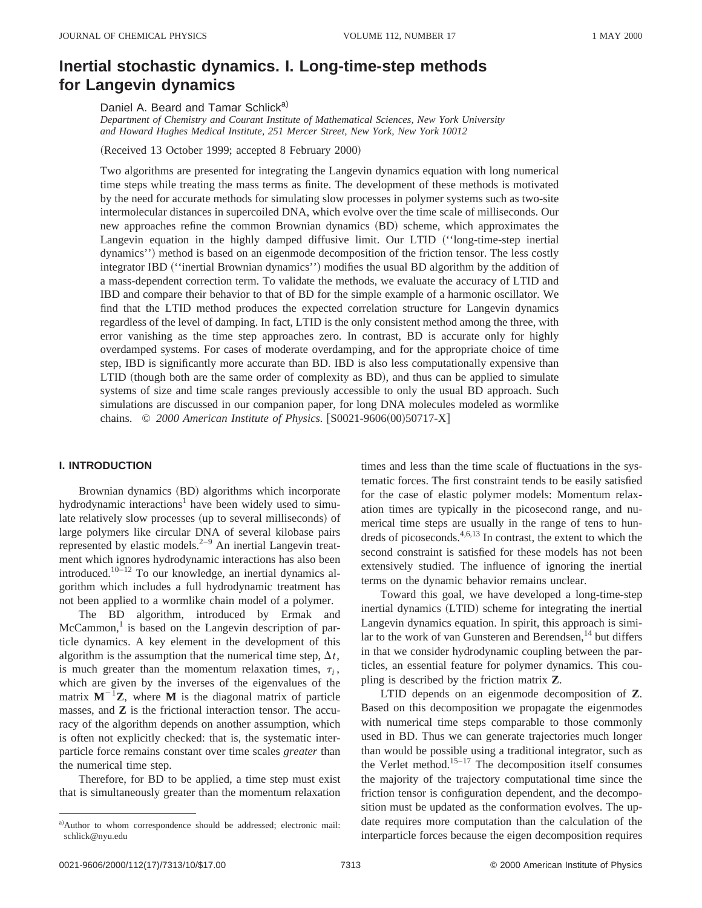# **Inertial stochastic dynamics. I. Long-time-step methods for Langevin dynamics**

Daniel A. Beard and Tamar Schlick<sup>a)</sup>

*Department of Chemistry and Courant Institute of Mathematical Sciences, New York University and Howard Hughes Medical Institute, 251 Mercer Street, New York, New York 10012*

(Received 13 October 1999; accepted 8 February 2000)

Two algorithms are presented for integrating the Langevin dynamics equation with long numerical time steps while treating the mass terms as finite. The development of these methods is motivated by the need for accurate methods for simulating slow processes in polymer systems such as two-site intermolecular distances in supercoiled DNA, which evolve over the time scale of milliseconds. Our new approaches refine the common Brownian dynamics (BD) scheme, which approximates the Langevin equation in the highly damped diffusive limit. Our LTID ("long-time-step inertial dynamics'') method is based on an eigenmode decomposition of the friction tensor. The less costly integrator IBD ("inertial Brownian dynamics") modifies the usual BD algorithm by the addition of a mass-dependent correction term. To validate the methods, we evaluate the accuracy of LTID and IBD and compare their behavior to that of BD for the simple example of a harmonic oscillator. We find that the LTID method produces the expected correlation structure for Langevin dynamics regardless of the level of damping. In fact, LTID is the only consistent method among the three, with error vanishing as the time step approaches zero. In contrast, BD is accurate only for highly overdamped systems. For cases of moderate overdamping, and for the appropriate choice of time step, IBD is significantly more accurate than BD. IBD is also less computationally expensive than LTID (though both are the same order of complexity as BD), and thus can be applied to simulate systems of size and time scale ranges previously accessible to only the usual BD approach. Such simulations are discussed in our companion paper, for long DNA molecules modeled as wormlike chains. © 2000 American Institute of Physics. [S0021-9606(00)50717-X]

## **I. INTRODUCTION**

Brownian dynamics (BD) algorithms which incorporate hydrodynamic interactions<sup>1</sup> have been widely used to simulate relatively slow processes (up to several milliseconds) of large polymers like circular DNA of several kilobase pairs represented by elastic models. $2-9$  An inertial Langevin treatment which ignores hydrodynamic interactions has also been introduced.10–12 To our knowledge, an inertial dynamics algorithm which includes a full hydrodynamic treatment has not been applied to a wormlike chain model of a polymer.

The BD algorithm, introduced by Ermak and  $McCammon<sup>1</sup>$  is based on the Langevin description of particle dynamics. A key element in the development of this algorithm is the assumption that the numerical time step,  $\Delta t$ , is much greater than the momentum relaxation times,  $\tau_i$ , which are given by the inverses of the eigenvalues of the matrix  $M^{-1}Z$ , where M is the diagonal matrix of particle masses, and **Z** is the frictional interaction tensor. The accuracy of the algorithm depends on another assumption, which is often not explicitly checked: that is, the systematic interparticle force remains constant over time scales *greater* than the numerical time step.

Therefore, for BD to be applied, a time step must exist that is simultaneously greater than the momentum relaxation

times and less than the time scale of fluctuations in the systematic forces. The first constraint tends to be easily satisfied for the case of elastic polymer models: Momentum relaxation times are typically in the picosecond range, and numerical time steps are usually in the range of tens to hundreds of picoseconds. $4,6,13$  In contrast, the extent to which the second constraint is satisfied for these models has not been extensively studied. The influence of ignoring the inertial terms on the dynamic behavior remains unclear.

Toward this goal, we have developed a long-time-step inertial dynamics (LTID) scheme for integrating the inertial Langevin dynamics equation. In spirit, this approach is similar to the work of van Gunsteren and Berendsen, $^{14}$  but differs in that we consider hydrodynamic coupling between the particles, an essential feature for polymer dynamics. This coupling is described by the friction matrix **Z**.

LTID depends on an eigenmode decomposition of **Z**. Based on this decomposition we propagate the eigenmodes with numerical time steps comparable to those commonly used in BD. Thus we can generate trajectories much longer than would be possible using a traditional integrator, such as the Verlet method.<sup>15–17</sup> The decomposition itself consumes the majority of the trajectory computational time since the friction tensor is configuration dependent, and the decomposition must be updated as the conformation evolves. The update requires more computation than the calculation of the interparticle forces because the eigen decomposition requires

a)Author to whom correspondence should be addressed; electronic mail: schlick@nyu.edu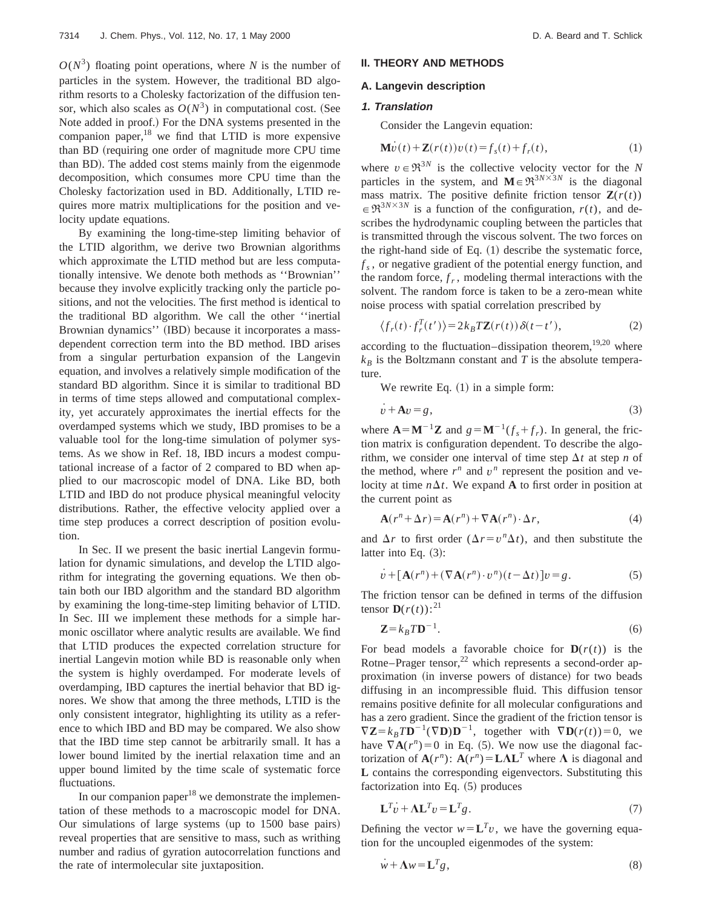$O(N^3)$  floating point operations, where *N* is the number of particles in the system. However, the traditional BD algorithm resorts to a Cholesky factorization of the diffusion tensor, which also scales as  $O(N^3)$  in computational cost. (See Note added in proof.) For the DNA systems presented in the companion paper, $^{18}$  we find that LTID is more expensive than BD (requiring one order of magnitude more CPU time than BD). The added cost stems mainly from the eigenmode decomposition, which consumes more CPU time than the Cholesky factorization used in BD. Additionally, LTID requires more matrix multiplications for the position and velocity update equations.

By examining the long-time-step limiting behavior of the LTID algorithm, we derive two Brownian algorithms which approximate the LTID method but are less computationally intensive. We denote both methods as ''Brownian'' because they involve explicitly tracking only the particle positions, and not the velocities. The first method is identical to the traditional BD algorithm. We call the other ''inertial Brownian dynamics" (IBD) because it incorporates a massdependent correction term into the BD method. IBD arises from a singular perturbation expansion of the Langevin equation, and involves a relatively simple modification of the standard BD algorithm. Since it is similar to traditional BD in terms of time steps allowed and computational complexity, yet accurately approximates the inertial effects for the overdamped systems which we study, IBD promises to be a valuable tool for the long-time simulation of polymer systems. As we show in Ref. 18, IBD incurs a modest computational increase of a factor of 2 compared to BD when applied to our macroscopic model of DNA. Like BD, both LTID and IBD do not produce physical meaningful velocity distributions. Rather, the effective velocity applied over a time step produces a correct description of position evolution.

In Sec. II we present the basic inertial Langevin formulation for dynamic simulations, and develop the LTID algorithm for integrating the governing equations. We then obtain both our IBD algorithm and the standard BD algorithm by examining the long-time-step limiting behavior of LTID. In Sec. III we implement these methods for a simple harmonic oscillator where analytic results are available. We find that LTID produces the expected correlation structure for inertial Langevin motion while BD is reasonable only when the system is highly overdamped. For moderate levels of overdamping, IBD captures the inertial behavior that BD ignores. We show that among the three methods, LTID is the only consistent integrator, highlighting its utility as a reference to which IBD and BD may be compared. We also show that the IBD time step cannot be arbitrarily small. It has a lower bound limited by the inertial relaxation time and an upper bound limited by the time scale of systematic force fluctuations.

In our companion paper $18$  we demonstrate the implementation of these methods to a macroscopic model for DNA. Our simulations of large systems (up to 1500 base pairs) reveal properties that are sensitive to mass, such as writhing number and radius of gyration autocorrelation functions and the rate of intermolecular site juxtaposition.

## **II. THEORY AND METHODS**

#### **A. Langevin description**

## **1. Translation**

Consider the Langevin equation:

$$
\mathbf{M}\dot{v}(t) + \mathbf{Z}(r(t))v(t) = f_s(t) + f_r(t),\tag{1}
$$

where  $v \in \mathfrak{R}^{3N}$  is the collective velocity vector for the *N* particles in the system, and  $\mathbf{M} \in \mathbb{R}^{3N \times 3N}$  is the diagonal mass matrix. The positive definite friction tensor  $\mathbf{Z}(r(t))$  $\in \mathfrak{R}^{3N \times 3N}$  is a function of the configuration,  $r(t)$ , and describes the hydrodynamic coupling between the particles that is transmitted through the viscous solvent. The two forces on the right-hand side of Eq.  $(1)$  describe the systematic force,  $f<sub>s</sub>$ , or negative gradient of the potential energy function, and the random force,  $f_r$ , modeling thermal interactions with the solvent. The random force is taken to be a zero-mean white noise process with spatial correlation prescribed by

$$
\langle f_r(t) \cdot f_r^T(t') \rangle = 2k_B T \mathbf{Z}(r(t)) \delta(t - t'), \qquad (2)
$$

according to the fluctuation–dissipation theorem, $19,20$  where  $k_B$  is the Boltzmann constant and *T* is the absolute temperature.

We rewrite Eq.  $(1)$  in a simple form:

$$
\dot{v} + Av = g,\tag{3}
$$

where  $\mathbf{A} = \mathbf{M}^{-1}\mathbf{Z}$  and  $g = \mathbf{M}^{-1}(f_s + f_r)$ . In general, the friction matrix is configuration dependent. To describe the algorithm, we consider one interval of time step  $\Delta t$  at step *n* of the method, where  $r^n$  and  $v^n$  represent the position and velocity at time  $n\Delta t$ . We expand **A** to first order in position at the current point as

$$
\mathbf{A}(r^n + \Delta r) = \mathbf{A}(r^n) + \nabla \mathbf{A}(r^n) \cdot \Delta r,\tag{4}
$$

and  $\Delta r$  to first order  $(\Delta r = v^n \Delta t)$ , and then substitute the latter into Eq.  $(3)$ :

$$
\dot{v} + [\mathbf{A}(r^n) + (\nabla \mathbf{A}(r^n) \cdot v^n)(t - \Delta t)]v = g.
$$
\n(5)

The friction tensor can be defined in terms of the diffusion tensor  $\mathbf{D}(r(t))$ : <sup>21</sup>

$$
\mathbf{Z} = k_B T \mathbf{D}^{-1}.\tag{6}
$$

For bead models a favorable choice for  $D(r(t))$  is the Rotne–Prager tensor, $^{22}$  which represents a second-order approximation (in inverse powers of distance) for two beads diffusing in an incompressible fluid. This diffusion tensor remains positive definite for all molecular configurations and has a zero gradient. Since the gradient of the friction tensor is  $\nabla$ **Z**= $k_B$ **TD**<sup>-1</sup>( $\nabla$ **D**)**D**<sup>-1</sup>, together with  $\nabla$ **D**( $r(t)$ )=0, we have  $\nabla$ **A**( $r^n$ )=0 in Eq. (5). We now use the diagonal factorization of  $\mathbf{A}(r^n)$ :  $\mathbf{A}(r^n) = \mathbf{L}\mathbf{\Lambda}\mathbf{L}^T$  where  $\mathbf{\Lambda}$  is diagonal and **L** contains the corresponding eigenvectors. Substituting this factorization into Eq.  $(5)$  produces

$$
\mathbf{L}^T \dot{v} + \mathbf{\Lambda} \mathbf{L}^T v = \mathbf{L}^T g. \tag{7}
$$

Defining the vector  $w = L^T v$ , we have the governing equation for the uncoupled eigenmodes of the system:

$$
\dot{w} + \Lambda w = \mathbf{L}^T g,\tag{8}
$$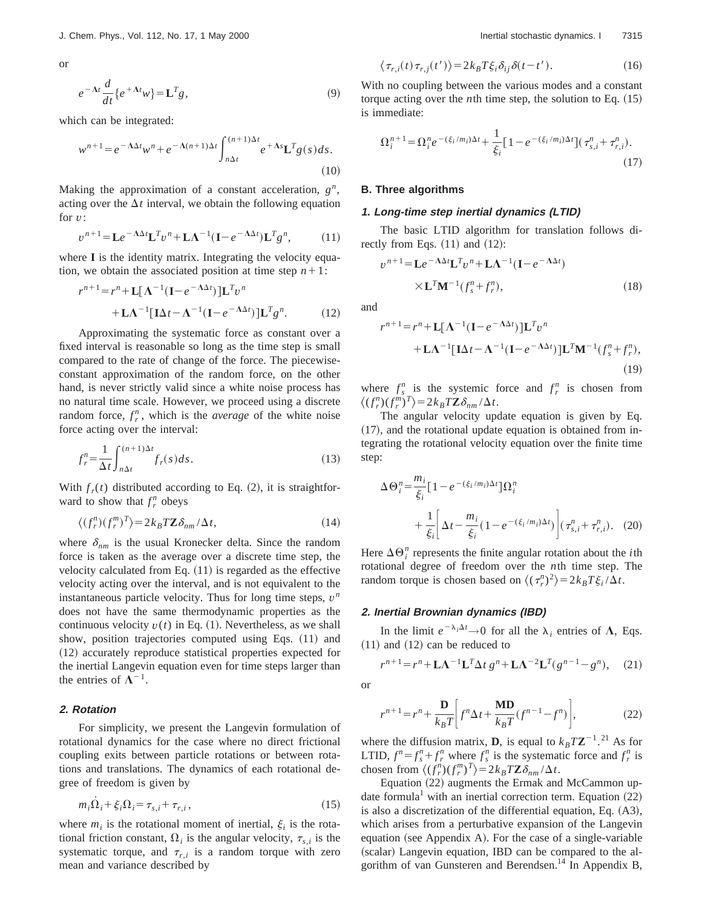or

$$
e^{-\Lambda t} \frac{d}{dt} \{ e^{+\Lambda t} w \} = \mathbf{L}^T g,
$$
\n(9)

which can be integrated:

$$
w^{n+1} = e^{-\Lambda \Delta t} w^n + e^{-\Lambda (n+1)\Delta t} \int_{n\Delta t}^{(n+1)\Delta t} e^{+\Lambda s} \mathbf{L}^T g(s) ds.
$$
\n(10)

Making the approximation of a constant acceleration, *gn*, acting over the  $\Delta t$  interval, we obtain the following equation for *v*:

$$
v^{n+1} = \mathbf{L}e^{-\mathbf{\Lambda}\Delta t}\mathbf{L}^T v^n + \mathbf{L}\mathbf{\Lambda}^{-1}(\mathbf{I} - e^{-\mathbf{\Lambda}\Delta t})\mathbf{L}^T g^n, \tag{11}
$$

where **I** is the identity matrix. Integrating the velocity equation, we obtain the associated position at time step  $n+1$ :

$$
r^{n+1} = r^n + \mathbf{L} [\Lambda^{-1} (\mathbf{I} - e^{-\Lambda \Delta t})] \mathbf{L}^T v^n
$$

$$
+ \mathbf{L} \Lambda^{-1} [\mathbf{I} \Delta t - \Lambda^{-1} (\mathbf{I} - e^{-\Lambda \Delta t})] \mathbf{L}^T g^n. \tag{12}
$$

Approximating the systematic force as constant over a fixed interval is reasonable so long as the time step is small compared to the rate of change of the force. The piecewiseconstant approximation of the random force, on the other hand, is never strictly valid since a white noise process has no natural time scale. However, we proceed using a discrete random force,  $f_r^n$ , which is the *average* of the white noise force acting over the interval:

$$
f_r^n = \frac{1}{\Delta t} \int_{n\Delta t}^{(n+1)\Delta t} f_r(s) ds.
$$
 (13)

With  $f_r(t)$  distributed according to Eq. (2), it is straightforward to show that  $f_r^n$  obeys

$$
\langle (f_r^n)(f_r^m)^T \rangle = 2k_B T \mathbf{Z} \delta_{nm} / \Delta t, \qquad (14)
$$

where  $\delta_{nm}$  is the usual Kronecker delta. Since the random force is taken as the average over a discrete time step, the velocity calculated from Eq.  $(11)$  is regarded as the effective velocity acting over the interval, and is not equivalent to the instantaneous particle velocity. Thus for long time steps,  $v^n$ does not have the same thermodynamic properties as the continuous velocity  $v(t)$  in Eq. (1). Nevertheless, as we shall show, position trajectories computed using Eqs.  $(11)$  and ~12! accurately reproduce statistical properties expected for the inertial Langevin equation even for time steps larger than the entries of  $\Lambda^{-1}$ .

#### **2. Rotation**

For simplicity, we present the Langevin formulation of rotational dynamics for the case where no direct frictional coupling exits between particle rotations or between rotations and translations. The dynamics of each rotational degree of freedom is given by

$$
m_i \dot{\Omega}_i + \xi_i \Omega_i = \tau_{s,i} + \tau_{r,i}, \qquad (15)
$$

where  $m_i$  is the rotational moment of inertial,  $\xi_i$  is the rotational friction constant,  $\Omega_i$  is the angular velocity,  $\tau_{s,i}$  is the systematic torque, and  $\tau_{r,i}$  is a random torque with zero mean and variance described by

$$
\langle \tau_{r,i}(t)\tau_{r,j}(t')\rangle = 2k_B T \xi_i \delta_{ij} \delta(t-t'). \tag{16}
$$

With no coupling between the various modes and a constant torque acting over the *n*th time step, the solution to Eq.  $(15)$ is immediate:

$$
\Omega_i^{n+1} = \Omega_i^n e^{-(\xi_i/m_i)\Delta t} + \frac{1}{\xi_i} \Big[ 1 - e^{-(\xi_i/m_i)\Delta t} \Big] (\tau_{s,i}^n + \tau_{r,i}^n). \tag{17}
$$

#### **B. Three algorithms**

#### **1. Long-time step inertial dynamics (LTID)**

The basic LTID algorithm for translation follows directly from Eqs.  $(11)$  and  $(12)$ :

$$
v^{n+1} = \mathbf{L}e^{-\mathbf{\Lambda}\Delta t}\mathbf{L}^T v^n + \mathbf{L}\mathbf{\Lambda}^{-1}(\mathbf{I} - e^{-\mathbf{\Lambda}\Delta t})
$$
  
 
$$
\times \mathbf{L}^T \mathbf{M}^{-1} (f_s^n + f_r^n), \qquad (18)
$$

and

$$
r^{n+1} = r^n + \mathbf{L} [\mathbf{\Lambda}^{-1} (\mathbf{I} - e^{-\mathbf{\Lambda} \Delta t})] \mathbf{L}^T v^n
$$
  
+ 
$$
\mathbf{L} \mathbf{\Lambda}^{-1} [\mathbf{I} \Delta t - \mathbf{\Lambda}^{-1} (\mathbf{I} - e^{-\mathbf{\Lambda} \Delta t})] \mathbf{L}^T \mathbf{M}^{-1} (f_s^n + f_r^n),
$$
  
(19)

where  $f_s^n$  is the systemic force and  $f_r^n$  is chosen from  $\langle (f_r^n)(f_r^m)^T \rangle = 2k_B T \mathbf{Z} \delta_{nm} / \Delta t.$ 

The angular velocity update equation is given by Eq.  $(17)$ , and the rotational update equation is obtained from integrating the rotational velocity equation over the finite time step:

$$
\Delta \Theta_i^n = \frac{m_i}{\xi_i} \Big[ 1 - e^{-(\xi_i/m_i)\Delta t} \Big] \Omega_i^n
$$
  
+ 
$$
\frac{1}{\xi_i} \Big[ \Delta t - \frac{m_i}{\xi_i} \Big( 1 - e^{-(\xi_i/m_i)\Delta t} \Big) \Big] (\tau_{s,i}^n + \tau_{r,i}^n). \quad (20)
$$

Here  $\Delta \Theta_i^n$  represents the finite angular rotation about the *i*th rotational degree of freedom over the *n*th time step. The random torque is chosen based on  $\langle (\tau_r^n)^2 \rangle = 2k_B T \xi_i / \Delta t$ .

#### **2. Inertial Brownian dynamics (IBD)**

In the limit  $e^{-\lambda_i \Delta t} \rightarrow 0$  for all the  $\lambda_i$  entries of  $\Lambda$ , Eqs.  $(11)$  and  $(12)$  can be reduced to

$$
r^{n+1} = r^n + \mathbf{L}\Lambda^{-1}\mathbf{L}^T\Delta t \, g^n + \mathbf{L}\Lambda^{-2}\mathbf{L}^T(g^{n-1} - g^n), \quad (21)
$$

or

$$
r^{n+1} = r^n + \frac{D}{k_B T} \bigg[ f^n \Delta t + \frac{MD}{k_B T} (f^{n-1} - f^n) \bigg],
$$
 (22)

where the diffusion matrix, **D**, is equal to  $k_B T Z^{-1}$ .<sup>21</sup> As for LTID,  $f^n = f_s^n + f_r^n$  where  $f_s^n$  is the systematic force and  $f_r^n$  is chosen from  $\langle (f_r^n)(f_r^m)^T \rangle = 2k_B T \mathbf{Z} \delta_{nm} / \Delta t$ .

Equation  $(22)$  augments the Ermak and McCammon update formula<sup>1</sup> with an inertial correction term. Equation  $(22)$ is also a discretization of the differential equation, Eq.  $(A3)$ , which arises from a perturbative expansion of the Langevin equation (see Appendix A). For the case of a single-variable (scalar) Langevin equation, IBD can be compared to the algorithm of van Gunsteren and Berendsen.<sup>14</sup> In Appendix B,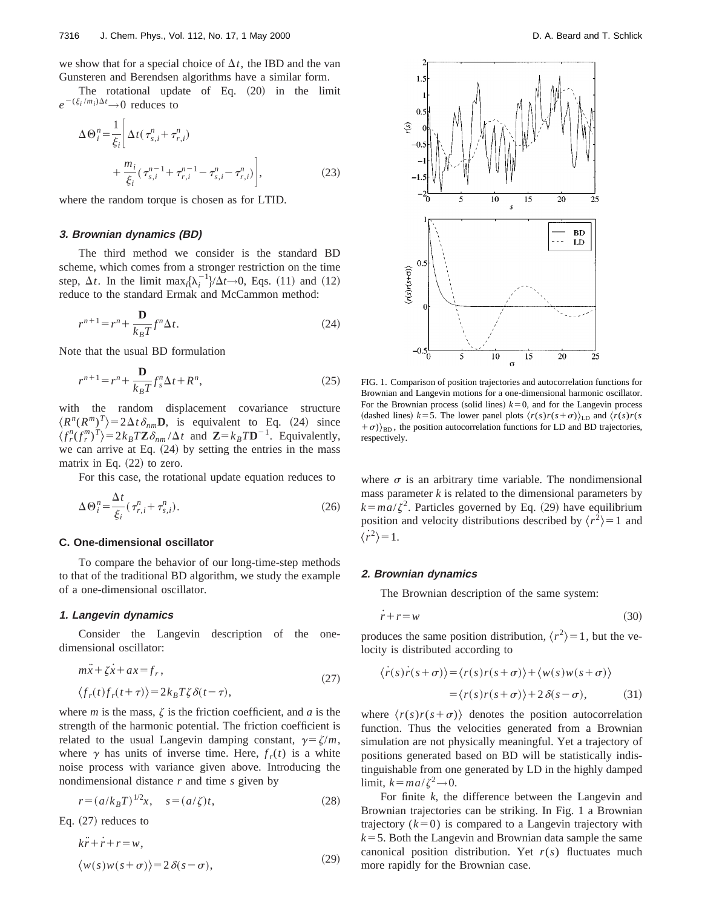we show that for a special choice of  $\Delta t$ , the IBD and the van Gunsteren and Berendsen algorithms have a similar form.

The rotational update of Eq.  $(20)$  in the limit  $e^{-(\xi_i/m_i)\Delta t} \rightarrow 0$  reduces to

$$
\Delta \Theta_i^n = \frac{1}{\xi_i} \left[ \Delta t(\tau_{s,i}^n + \tau_{r,i}^n) + \frac{m_i}{\xi_i} (\tau_{s,i}^{n-1} + \tau_{r,i}^{n-1} - \tau_{s,i}^n - \tau_{r,i}^n) \right],
$$
\n(23)

where the random torque is chosen as for LTID.

## **3. Brownian dynamics (BD)**

The third method we consider is the standard BD scheme, which comes from a stronger restriction on the time step,  $\Delta t$ . In the limit max<sub>*i*</sub>{ $\lambda_i^{-1}$ }/ $\Delta t \rightarrow 0$ , Eqs. (11) and (12) reduce to the standard Ermak and McCammon method:

$$
r^{n+1} = r^n + \frac{\mathbf{D}}{k_B T} f^n \Delta t.
$$
 (24)

Note that the usual BD formulation

$$
r^{n+1} = r^n + \frac{\mathbf{D}}{k_B T} f_s^n \Delta t + R^n,
$$
\n(25)

with the random displacement covariance structure  $\langle R^n(R^m)^T \rangle = 2\Delta t \delta_{nm} \mathbf{D}$ , is equivalent to Eq. (24) since  $\langle f_r^n(f_r^m)^T \rangle = 2k_B T \mathbb{Z} \delta_{nm} / \Delta t$  and  $\mathbb{Z} = k_B T \mathbb{D}^{-1}$ . Equivalently, we can arrive at Eq.  $(24)$  by setting the entries in the mass matrix in Eq.  $(22)$  to zero.

For this case, the rotational update equation reduces to

$$
\Delta \Theta_i^n = \frac{\Delta t}{\xi_i} (\tau_{r,i}^n + \tau_{s,i}^n). \tag{26}
$$

# **C. One-dimensional oscillator**

To compare the behavior of our long-time-step methods to that of the traditional BD algorithm, we study the example of a one-dimensional oscillator.

#### **1. Langevin dynamics**

Consider the Langevin description of the onedimensional oscillator:

$$
m\ddot{x} + \zeta \dot{x} + ax = f_r,
$$
  
\n
$$
\langle f_r(t)f_r(t+\tau) \rangle = 2k_B T \zeta \delta(t-\tau),
$$
\n(27)

where *m* is the mass,  $\zeta$  is the friction coefficient, and *a* is the strength of the harmonic potential. The friction coefficient is related to the usual Langevin damping constant,  $\gamma = \zeta/m$ , where  $\gamma$  has units of inverse time. Here,  $f_r(t)$  is a white noise process with variance given above. Introducing the nondimensional distance *r* and time *s* given by

$$
r = (a/k_B T)^{1/2} x, \quad s = (a/\zeta)t,
$$
 (28)

Eq.  $(27)$  reduces to

$$
k\ddot{r} + \dot{r} + r = w,
$$
  

$$
\langle w(s)w(s+\sigma) \rangle = 2\delta(s-\sigma),
$$
 (29)



FIG. 1. Comparison of position trajectories and autocorrelation functions for Brownian and Langevin motions for a one-dimensional harmonic oscillator. For the Brownian process (solid lines)  $k=0$ , and for the Langevin process (dashed lines)  $k=5$ . The lower panel plots  $\langle r(s)r(s+\sigma)\rangle$ <sub>LD</sub> and  $\langle r(s)r(s+\sigma)\rangle$ <sub>LD</sub>  $+\sigma$ ) $\langle B_{BD}$ , the position autocorrelation functions for LD and BD trajectories, respectively.

where  $\sigma$  is an arbitrary time variable. The nondimensional mass parameter *k* is related to the dimensional parameters by  $k = ma/\zeta^2$ . Particles governed by Eq. (29) have equilibrium position and velocity distributions described by  $\langle r^2 \rangle = 1$  and  $\langle \dot{r}^2 \rangle = 1.$ 

#### **2. Brownian dynamics**

The Brownian description of the same system:

$$
\dot{r} + r = w \tag{30}
$$

produces the same position distribution,  $\langle r^2 \rangle = 1$ , but the velocity is distributed according to

$$
\langle \dot{r}(s)\dot{r}(s+\sigma) \rangle = \langle r(s)r(s+\sigma) \rangle + \langle w(s)w(s+\sigma) \rangle
$$
  
=  $\langle r(s)r(s+\sigma) \rangle + 2\delta(s-\sigma),$  (31)

where  $\langle r(s)r(s+\sigma)\rangle$  denotes the position autocorrelation function. Thus the velocities generated from a Brownian simulation are not physically meaningful. Yet a trajectory of positions generated based on BD will be statistically indistinguishable from one generated by LD in the highly damped limit,  $k=ma/\zeta^2\rightarrow 0$ .

For finite *k*, the difference between the Langevin and Brownian trajectories can be striking. In Fig. 1 a Brownian trajectory  $(k=0)$  is compared to a Langevin trajectory with  $k=5$ . Both the Langevin and Brownian data sample the same canonical position distribution. Yet  $r(s)$  fluctuates much more rapidly for the Brownian case.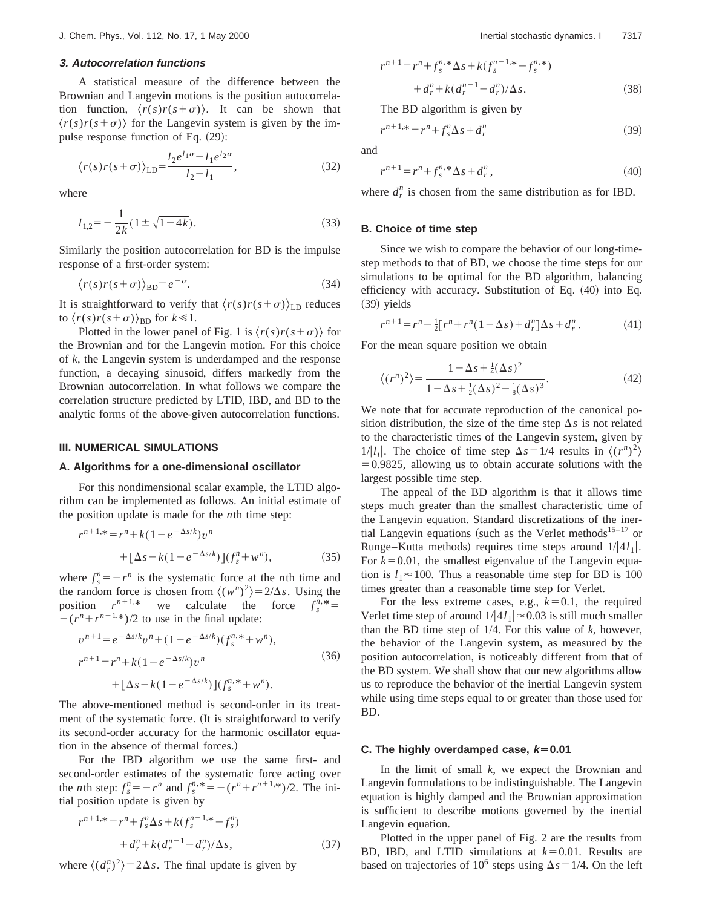## **3. Autocorrelation functions**

A statistical measure of the difference between the Brownian and Langevin motions is the position autocorrelation function,  $\langle r(s)r(s+\sigma) \rangle$ . It can be shown that  $\langle r(s)r(s+\sigma)\rangle$  for the Langevin system is given by the impulse response function of Eq.  $(29)$ :

$$
\langle r(s)r(s+\sigma)\rangle_{\text{LD}} = \frac{l_2 e^{l_1\sigma} - l_1 e^{l_2\sigma}}{l_2 - l_1},\tag{32}
$$

where

$$
l_{1,2} = -\frac{1}{2k} (1 \pm \sqrt{1 - 4k}).
$$
\n(33)

Similarly the position autocorrelation for BD is the impulse response of a first-order system:

$$
\langle r(s)r(s+\sigma)\rangle_{\rm BD} = e^{-\sigma}.\tag{34}
$$

It is straightforward to verify that  $\langle r(s)r(s+\sigma)\rangle$ <sub>LD</sub> reduces to  $\langle r(s)r(s+\sigma)\rangle_{\text{BD}}$  for  $k\leq 1$ .

Plotted in the lower panel of Fig. 1 is  $\langle r(s)r(s+\sigma) \rangle$  for the Brownian and for the Langevin motion. For this choice of *k*, the Langevin system is underdamped and the response function, a decaying sinusoid, differs markedly from the Brownian autocorrelation. In what follows we compare the correlation structure predicted by LTID, IBD, and BD to the analytic forms of the above-given autocorrelation functions.

## **III. NUMERICAL SIMULATIONS**

#### **A. Algorithms for a one-dimensional oscillator**

For this nondimensional scalar example, the LTID algorithm can be implemented as follows. An initial estimate of the position update is made for the *n*th time step:

$$
r^{n+1,*} = r^n + k(1 - e^{-\Delta s/k})v^n
$$
  
+ 
$$
[\Delta s - k(1 - e^{-\Delta s/k})](f_s^n + w^n),
$$
 (35)

where  $f_s^n = -r^n$  is the systematic force at the *n*th time and the random force is chosen from  $\langle (w^n)^2 \rangle = 2/\Delta s$ . Using the position  $r^{n+1,*}$  we calculate the force  $f_s^{n,*}$  $-(r^{n}+r^{n+1,*})/2$  to use in the final update:

$$
v^{n+1} = e^{-\Delta s/k} v^n + (1 - e^{-\Delta s/k}) (f_s^{n,*} + w^n),
$$
  
\n
$$
r^{n+1} = r^n + k(1 - e^{-\Delta s/k}) v^n + [\Delta s - k(1 - e^{-\Delta s/k})] (f_s^{n,*} + w^n).
$$
\n(36)

The above-mentioned method is second-order in its treatment of the systematic force. (It is straightforward to verify its second-order accuracy for the harmonic oscillator equation in the absence of thermal forces.)

For the IBD algorithm we use the same first- and second-order estimates of the systematic force acting over the *n*th step:  $f_s^n = -r^n$  and  $f_s^{n,*} = -(r^n + r^{n+1,*})/2$ . The initial position update is given by

$$
r^{n+1,*} = r^n + f_s^n \Delta s + k(f_s^{n-1,*} - f_s^n) + d_r^n + k(d_r^{n-1} - d_r^n) / \Delta s,
$$
 (37)

where  $\langle (d_r^n)^2 \rangle = 2\Delta s$ . The final update is given by

$$
r^{n+1} = r^n + f_s^{n,*} \Delta s + k(f_s^{n-1,*} - f_s^{n,*})
$$
  
+ 
$$
d_r^n + k(d_r^{n-1} - d_r^n) / \Delta s.
$$
 (38)

The BD algorithm is given by

$$
r^{n+1,*} = r^n + f_s^n \Delta s + d_r^n \tag{39}
$$

and

$$
r^{n+1} = r^n + f_s^{n,*} \Delta s + d_r^n, \tag{40}
$$

where  $d_r^n$  is chosen from the same distribution as for IBD.

#### **B. Choice of time step**

Since we wish to compare the behavior of our long-timestep methods to that of BD, we choose the time steps for our simulations to be optimal for the BD algorithm, balancing efficiency with accuracy. Substitution of Eq.  $(40)$  into Eq.  $(39)$  yields

$$
r^{n+1} = r^n - \frac{1}{2} [r^n + r^n (1 - \Delta s) + d_r^n] \Delta s + d_r^n. \tag{41}
$$

For the mean square position we obtain

$$
\langle (r^n)^2 \rangle = \frac{1 - \Delta s + \frac{1}{4} (\Delta s)^2}{1 - \Delta s + \frac{1}{2} (\Delta s)^2 - \frac{1}{8} (\Delta s)^3}.
$$
 (42)

We note that for accurate reproduction of the canonical position distribution, the size of the time step  $\Delta s$  is not related to the characteristic times of the Langevin system, given by  $1/|l_i|$ . The choice of time step  $\Delta s = 1/4$  results in  $\langle (r^n)^2 \rangle$  $=0.9825$ , allowing us to obtain accurate solutions with the largest possible time step.

The appeal of the BD algorithm is that it allows time steps much greater than the smallest characteristic time of the Langevin equation. Standard discretizations of the inertial Langevin equations (such as the Verlet methods<sup>15–17</sup> or Runge–Kutta methods) requires time steps around  $1/|4l_1|$ . For  $k=0.01$ , the smallest eigenvalue of the Langevin equation is  $l_1 \approx 100$ . Thus a reasonable time step for BD is 100 times greater than a reasonable time step for Verlet.

For the less extreme cases, e.g.,  $k=0.1$ , the required Verlet time step of around  $1/|4l_1|\approx 0.03$  is still much smaller than the BD time step of 1/4. For this value of *k*, however, the behavior of the Langevin system, as measured by the position autocorrelation, is noticeably different from that of the BD system. We shall show that our new algorithms allow us to reproduce the behavior of the inertial Langevin system while using time steps equal to or greater than those used for BD.

#### **C.** The highly overdamped case,  $k=0.01$

In the limit of small *k*, we expect the Brownian and Langevin formulations to be indistinguishable. The Langevin equation is highly damped and the Brownian approximation is sufficient to describe motions governed by the inertial Langevin equation.

Plotted in the upper panel of Fig. 2 are the results from BD, IBD, and LTID simulations at  $k=0.01$ . Results are based on trajectories of 10<sup>6</sup> steps using  $\Delta s = 1/4$ . On the left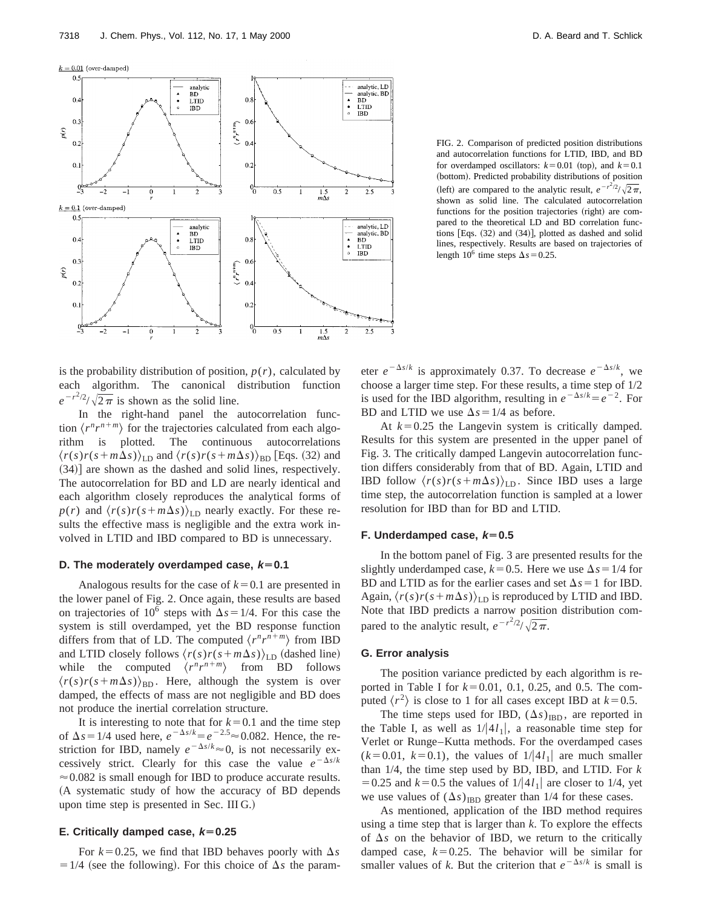$\ddot{\bullet}$ 

analytic<br>BD<br>LTID

**IBD** 

 $0.8$ 

 $0.6$ 

 $k = 0.01$  (over-damped)  $0.3$ 

 $0.4$ 

 $0.3$ 

 $p(r)$ 



is the probability distribution of position,  $p(r)$ , calculated by each algorithm. The canonical distribution function  $e^{-r^2/2}/\sqrt{2\pi}$  is shown as the solid line.

In the right-hand panel the autocorrelation function  $\langle r^n r^{n+m} \rangle$  for the trajectories calculated from each algorithm is plotted. The continuous autocorrelations  $\langle r(s)r(s+m\Delta s)\rangle$ <sub>LD</sub> and  $\langle r(s)r(s+m\Delta s)\rangle$ <sub>BD</sub> [Eqs. (32) and  $(34)$ ] are shown as the dashed and solid lines, respectively. The autocorrelation for BD and LD are nearly identical and each algorithm closely reproduces the analytical forms of  $p(r)$  and  $\langle r(s)r(s+m\Delta s)\rangle$ <sub>LD</sub> nearly exactly. For these results the effective mass is negligible and the extra work involved in LTID and IBD compared to BD is unnecessary.

# **D.** The moderately overdamped case,  $k=0.1$

Analogous results for the case of  $k=0.1$  are presented in the lower panel of Fig. 2. Once again, these results are based on trajectories of 10<sup>6</sup> steps with  $\Delta s = 1/4$ . For this case the system is still overdamped, yet the BD response function differs from that of LD. The computed  $\langle r^n r^{n+m} \rangle$  from IBD and LTID closely follows  $\langle r(s)r(s+m\Delta s)\rangle$ <sub>LD</sub> (dashed line) while the computed  $\langle r^n r^{n+m} \rangle$  from BD follows  $\langle r(s)r(s+m\Delta s)\rangle_{BD}$ . Here, although the system is over damped, the effects of mass are not negligible and BD does not produce the inertial correlation structure.

It is interesting to note that for  $k=0.1$  and the time step of  $\Delta s = 1/4$  used here,  $e^{-\Delta s/k} = e^{-2.5} \approx 0.082$ . Hence, the restriction for IBD, namely  $e^{-\Delta s/k} \approx 0$ , is not necessarily excessively strict. Clearly for this case the value  $e^{-\Delta s/k}$  $\approx 0.082$  is small enough for IBD to produce accurate results. (A systematic study of how the accuracy of BD depends upon time step is presented in Sec. III G.)

# **E.** Critically damped case,  $k=0.25$

For  $k=0.25$ , we find that IBD behaves poorly with  $\Delta s$  $=1/4$  (see the following). For this choice of  $\Delta s$  the param-

FIG. 2. Comparison of predicted position distributions and autocorrelation functions for LTID, IBD, and BD for overdamped oscillators:  $k=0.01$  (top), and  $k=0.1$ (bottom). Predicted probability distributions of position (left) are compared to the analytic result,  $e^{-r^2/2}/\sqrt{2\pi}$ , shown as solid line. The calculated autocorrelation functions for the position trajectories (right) are compared to the theoretical LD and BD correlation functions [Eqs.  $(32)$  and  $(34)$ ], plotted as dashed and solid lines, respectively. Results are based on trajectories of length  $10^6$  time steps  $\Delta s$  = 0.25.

eter  $e^{-\Delta s/k}$  is approximately 0.37. To decrease  $e^{-\Delta s/k}$ , we choose a larger time step. For these results, a time step of 1/2 is used for the IBD algorithm, resulting in  $e^{-\Delta s/k} = e^{-2}$ . For BD and LTID we use  $\Delta s = 1/4$  as before.

At  $k=0.25$  the Langevin system is critically damped. Results for this system are presented in the upper panel of Fig. 3. The critically damped Langevin autocorrelation function differs considerably from that of BD. Again, LTID and **IBD** follow  $\langle r(s)r(s+m\Delta s)\rangle$ <sub>LD</sub>. Since IBD uses a large time step, the autocorrelation function is sampled at a lower resolution for IBD than for BD and LTID.

# **F.** Underdamped case,  $k=0.5$

In the bottom panel of Fig. 3 are presented results for the slightly underdamped case,  $k=0.5$ . Here we use  $\Delta s=1/4$  for BD and LTID as for the earlier cases and set  $\Delta s = 1$  for IBD. Again,  $\langle r(s)r(s+m\Delta s)\rangle$ <sub>LD</sub> is reproduced by LTID and IBD. Note that IBD predicts a narrow position distribution compared to the analytic result,  $e^{-r^2/2}/\sqrt{2\pi}$ .

# **G. Error analysis**

analytic, LD<br>analytic, BD<br>BD

 $LTD$ 

**IBD** 

 $\frac{1}{\cdot}$ 

The position variance predicted by each algorithm is reported in Table I for  $k=0.01$ , 0.1, 0.25, and 0.5. The computed  $\langle r^2 \rangle$  is close to 1 for all cases except IBD at  $k=0.5$ .

The time steps used for IBD,  $(\Delta s)_{IBD}$ , are reported in the Table I, as well as  $1/|4l_1|$ , a reasonable time step for Verlet or Runge–Kutta methods. For the overdamped cases  $(k=0.01, k=0.1)$ , the values of  $1/|4l_1|$  are much smaller than 1/4, the time step used by BD, IBD, and LTID. For *k*  $=0.25$  and  $k=0.5$  the values of  $1/|4l_1|$  are closer to 1/4, yet we use values of  $(\Delta s)_{IBD}$  greater than 1/4 for these cases.

As mentioned, application of the IBD method requires using a time step that is larger than *k*. To explore the effects of  $\Delta s$  on the behavior of IBD, we return to the critically damped case,  $k=0.25$ . The behavior will be similar for smaller values of *k*. But the criterion that  $e^{-\Delta s/k}$  is small is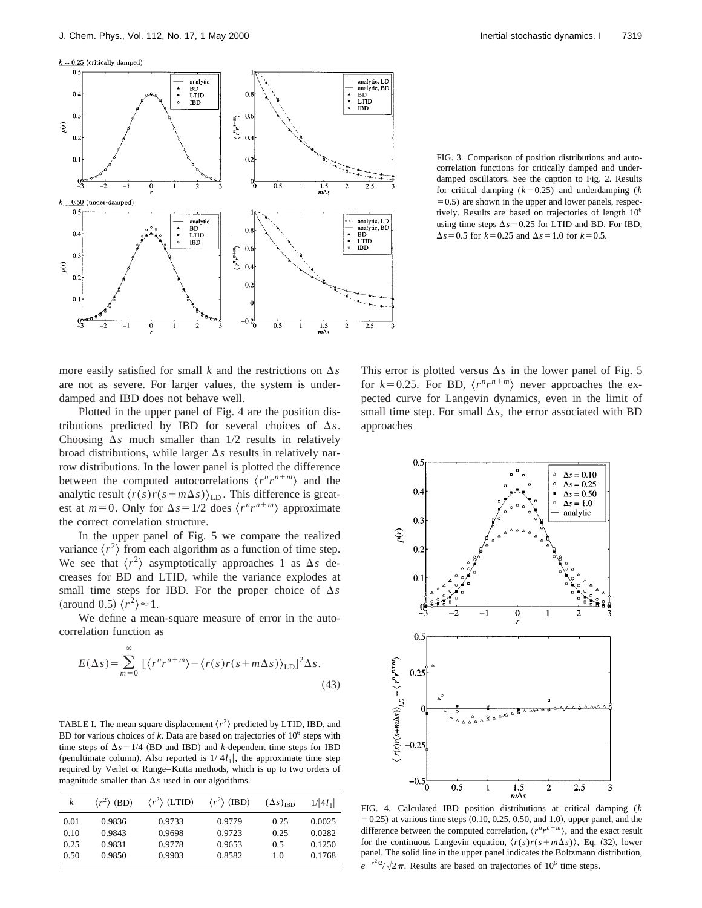$k = 0.25$  (critically damped)



FIG. 3. Comparison of position distributions and autocorrelation functions for critically damped and underdamped oscillators. See the caption to Fig. 2. Results for critical damping  $(k=0.25)$  and underdamping  $(k)$  $=0.5$ ) are shown in the upper and lower panels, respectively. Results are based on trajectories of length 106 using time steps  $\Delta s$ =0.25 for LTID and BD. For IBD,  $\Delta s = 0.5$  for  $k = 0.25$  and  $\Delta s = 1.0$  for  $k = 0.5$ .

more easily satisfied for small  $k$  and the restrictions on  $\Delta s$ are not as severe. For larger values, the system is underdamped and IBD does not behave well.

Plotted in the upper panel of Fig. 4 are the position distributions predicted by IBD for several choices of  $\Delta s$ . Choosing  $\Delta s$  much smaller than  $1/2$  results in relatively broad distributions, while larger  $\Delta s$  results in relatively narrow distributions. In the lower panel is plotted the difference between the computed autocorrelations  $\langle r^n r^{n+m} \rangle$  and the analytic result  $\langle r(s)r(s+m\Delta s)\rangle$ <sub>LD</sub>. This difference is greatest at  $m=0$ . Only for  $\Delta s=1/2$  does  $\langle r^n r^{n+m} \rangle$  approximate the correct correlation structure.

In the upper panel of Fig. 5 we compare the realized variance  $\langle r^2 \rangle$  from each algorithm as a function of time step. We see that  $\langle r^2 \rangle$  asymptotically approaches 1 as  $\Delta s$  decreases for BD and LTID, while the variance explodes at small time steps for IBD. For the proper choice of  $\Delta s$  $\frac{\text{(around 0.5)}}{r^2} \approx 1.$ 

We define a mean-square measure of error in the autocorrelation function as

$$
E(\Delta s) = \sum_{m=0}^{\infty} \left[ \langle r^n r^{n+m} \rangle - \langle r(s) r(s+m\Delta s) \rangle_{\text{LD}} \right]^2 \Delta s.
$$
\n(43)

TABLE I. The mean square displacement  $\langle r^2 \rangle$  predicted by LTID, IBD, and BD for various choices of  $k$ . Data are based on trajectories of  $10^6$  steps with time steps of  $\Delta s = 1/4$  (BD and IBD) and *k*-dependent time steps for IBD (penultimate column). Also reported is  $1/4l_1$ , the approximate time step required by Verlet or Runge–Kutta methods, which is up to two orders of magnitude smaller than  $\Delta s$  used in our algorithms.

| k    | $\langle r^2 \rangle$ (BD) | $\langle r^2 \rangle$ (LTID) | $\langle r^2 \rangle$ (IBD) | $(\Delta s)_{\text{IBD}}$ | $1/ 4l_1 $ |
|------|----------------------------|------------------------------|-----------------------------|---------------------------|------------|
| 0.01 | 0.9836                     | 0.9733                       | 0.9779                      | 0.25                      | 0.0025     |
| 0.10 | 0.9843                     | 0.9698                       | 0.9723                      | 0.25                      | 0.0282     |
| 0.25 | 0.9831                     | 0.9778                       | 0.9653                      | 0.5                       | 0.1250     |
| 0.50 | 0.9850                     | 0.9903                       | 0.8582                      | 1.0                       | 0.1768     |

This error is plotted versus  $\Delta s$  in the lower panel of Fig. 5 for  $k=0.25$ . For BD,  $\langle r^n r^{n+m} \rangle$  never approaches the expected curve for Langevin dynamics, even in the limit of small time step. For small  $\Delta s$ , the error associated with BD approaches



FIG. 4. Calculated IBD position distributions at critical damping (*k*  $=0.25$ ) at various time steps  $(0.10, 0.25, 0.50,$  and 1.0), upper panel, and the difference between the computed correlation,  $\langle r^n r^{n+m} \rangle$ , and the exact result for the continuous Langevin equation,  $\langle r(s)r(s+m\Delta s)\rangle$ , Eq. (32), lower panel. The solid line in the upper panel indicates the Boltzmann distribution,  $e^{-r^2/2}/\sqrt{2\pi}$ . Results are based on trajectories of 10<sup>6</sup> time steps.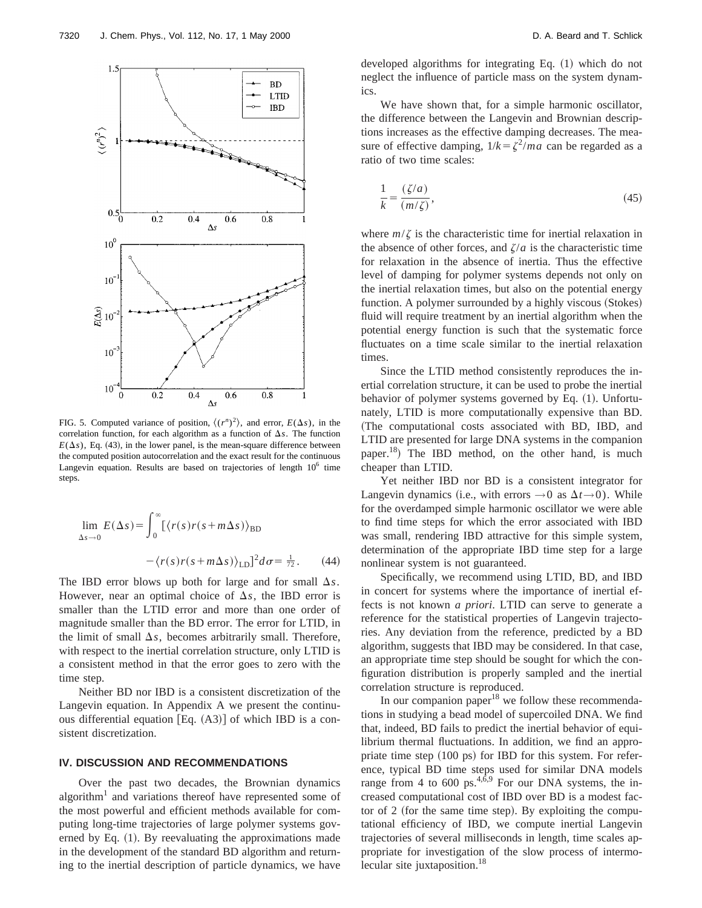

FIG. 5. Computed variance of position,  $\langle (r^n)^2 \rangle$ , and error,  $E(\Delta s)$ , in the correlation function, for each algorithm as a function of  $\Delta s$ . The function  $E(\Delta s)$ , Eq. (43), in the lower panel, is the mean-square difference between the computed position autocorrelation and the exact result for the continuous Langevin equation. Results are based on trajectories of length  $10<sup>6</sup>$  time steps.

$$
\lim_{\Delta s \to 0} E(\Delta s) = \int_0^\infty \left[ \langle r(s)r(s+m\Delta s) \rangle_{\text{BD}} - \langle r(s)r(s+m\Delta s) \rangle_{\text{LD}} \right]^2 d\sigma = \frac{1}{72}.
$$
 (44)

The IBD error blows up both for large and for small  $\Delta s$ . However, near an optimal choice of  $\Delta s$ , the IBD error is smaller than the LTID error and more than one order of magnitude smaller than the BD error. The error for LTID, in the limit of small  $\Delta s$ , becomes arbitrarily small. Therefore, with respect to the inertial correlation structure, only LTID is a consistent method in that the error goes to zero with the time step.

Neither BD nor IBD is a consistent discretization of the Langevin equation. In Appendix A we present the continuous differential equation  $[Eq. (A3)]$  of which IBD is a consistent discretization.

## **IV. DISCUSSION AND RECOMMENDATIONS**

Over the past two decades, the Brownian dynamics algorithm<sup>1</sup> and variations thereof have represented some of the most powerful and efficient methods available for computing long-time trajectories of large polymer systems governed by Eq.  $(1)$ . By reevaluating the approximations made in the development of the standard BD algorithm and returning to the inertial description of particle dynamics, we have developed algorithms for integrating Eq.  $(1)$  which do not neglect the influence of particle mass on the system dynamics.

We have shown that, for a simple harmonic oscillator, the difference between the Langevin and Brownian descriptions increases as the effective damping decreases. The measure of effective damping,  $1/k = \zeta^2/ma$  can be regarded as a ratio of two time scales:

$$
\frac{1}{k} = \frac{(\zeta/a)}{(m/\zeta)},\tag{45}
$$

where  $m/\zeta$  is the characteristic time for inertial relaxation in the absence of other forces, and  $\zeta/a$  is the characteristic time for relaxation in the absence of inertia. Thus the effective level of damping for polymer systems depends not only on the inertial relaxation times, but also on the potential energy function. A polymer surrounded by a highly viscous (Stokes) fluid will require treatment by an inertial algorithm when the potential energy function is such that the systematic force fluctuates on a time scale similar to the inertial relaxation times.

Since the LTID method consistently reproduces the inertial correlation structure, it can be used to probe the inertial behavior of polymer systems governed by Eq.  $(1)$ . Unfortunately, LTID is more computationally expensive than BD. ~The computational costs associated with BD, IBD, and LTID are presented for large DNA systems in the companion paper.<sup>18</sup>) The IBD method, on the other hand, is much cheaper than LTID.

Yet neither IBD nor BD is a consistent integrator for Langevin dynamics (i.e., with errors  $\rightarrow 0$  as  $\Delta t \rightarrow 0$ ). While for the overdamped simple harmonic oscillator we were able to find time steps for which the error associated with IBD was small, rendering IBD attractive for this simple system, determination of the appropriate IBD time step for a large nonlinear system is not guaranteed.

Specifically, we recommend using LTID, BD, and IBD in concert for systems where the importance of inertial effects is not known *a priori*. LTID can serve to generate a reference for the statistical properties of Langevin trajectories. Any deviation from the reference, predicted by a BD algorithm, suggests that IBD may be considered. In that case, an appropriate time step should be sought for which the configuration distribution is properly sampled and the inertial correlation structure is reproduced.

In our companion paper<sup>18</sup> we follow these recommendations in studying a bead model of supercoiled DNA. We find that, indeed, BD fails to predict the inertial behavior of equilibrium thermal fluctuations. In addition, we find an appropriate time step  $(100 \text{ ps})$  for IBD for this system. For reference, typical BD time steps used for similar DNA models range from 4 to 600 ps. $4,6,9$  For our DNA systems, the increased computational cost of IBD over BD is a modest factor of 2 (for the same time step). By exploiting the computational efficiency of IBD, we compute inertial Langevin trajectories of several milliseconds in length, time scales appropriate for investigation of the slow process of intermolecular site juxtaposition.<sup>18</sup>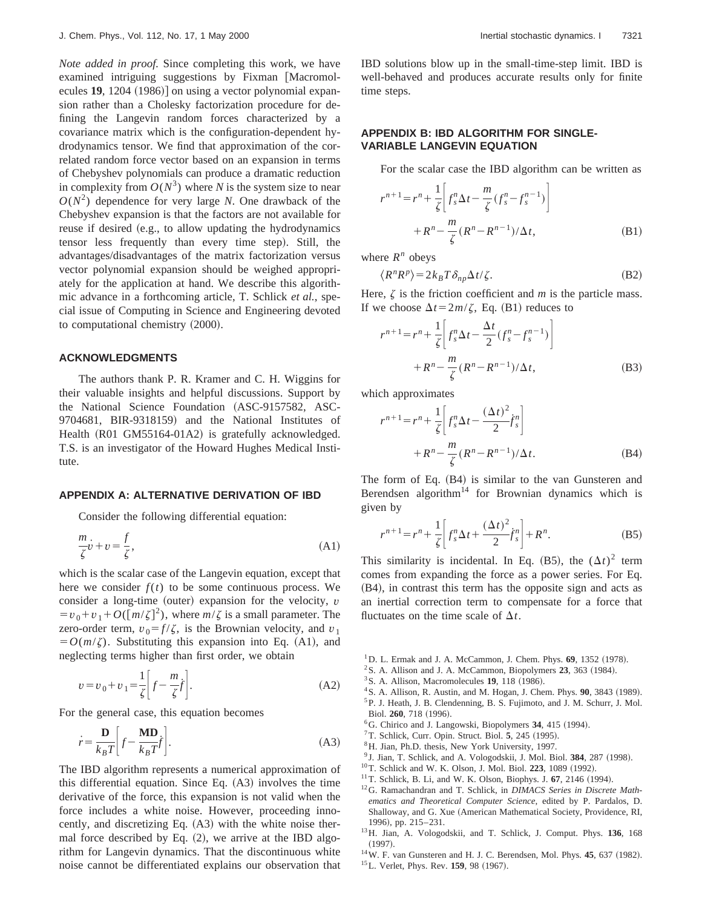*Note added in proof.* Since completing this work, we have examined intriguing suggestions by Fixman  $[Macromol$ ecules  $19$ ,  $1204$   $(1986)$  on using a vector polynomial expansion rather than a Cholesky factorization procedure for defining the Langevin random forces characterized by a covariance matrix which is the configuration-dependent hydrodynamics tensor. We find that approximation of the correlated random force vector based on an expansion in terms of Chebyshev polynomials can produce a dramatic reduction in complexity from  $O(N^3)$  where *N* is the system size to near  $O(N^2)$  dependence for very large *N*. One drawback of the Chebyshev expansion is that the factors are not available for reuse if desired (e.g., to allow updating the hydrodynamics tensor less frequently than every time step). Still, the advantages/disadvantages of the matrix factorization versus vector polynomial expansion should be weighed appropriately for the application at hand. We describe this algorithmic advance in a forthcoming article, T. Schlick *et al.*, special issue of Computing in Science and Engineering devoted to computational chemistry  $(2000)$ .

## **ACKNOWLEDGMENTS**

The authors thank P. R. Kramer and C. H. Wiggins for their valuable insights and helpful discussions. Support by the National Science Foundation (ASC-9157582, ASC-9704681, BIR-9318159) and the National Institutes of Health (R01 GM55164-01A2) is gratefully acknowledged. T.S. is an investigator of the Howard Hughes Medical Institute.

## **APPENDIX A: ALTERNATIVE DERIVATION OF IBD**

Consider the following differential equation:

$$
\frac{m}{\zeta}\dot{v} + v = \frac{f}{\zeta},\tag{A1}
$$

which is the scalar case of the Langevin equation, except that here we consider  $f(t)$  to be some continuous process. We consider a long-time (outer) expansion for the velocity,  $v$  $= v_0 + v_1 + O([m/\zeta]^2)$ , where  $m/\zeta$  is a small parameter. The zero-order term,  $v_0 = f/\zeta$ , is the Brownian velocity, and  $v_1$  $= O(m/\zeta)$ . Substituting this expansion into Eq. (A1), and neglecting terms higher than first order, we obtain

$$
v = v_0 + v_1 = \frac{1}{\zeta} \left[ f - \frac{m}{\zeta} \dot{f} \right].
$$
 (A2)

For the general case, this equation becomes

$$
\dot{r} = \frac{\mathbf{D}}{k_B T} \left[ f - \frac{\mathbf{M} \mathbf{D}}{k_B T} \dot{f} \right].
$$
\n(A3)

The IBD algorithm represents a numerical approximation of this differential equation. Since Eq.  $(A3)$  involves the time derivative of the force, this expansion is not valid when the force includes a white noise. However, proceeding innocently, and discretizing Eq.  $(A3)$  with the white noise thermal force described by Eq.  $(2)$ , we arrive at the IBD algorithm for Langevin dynamics. That the discontinuous white noise cannot be differentiated explains our observation that IBD solutions blow up in the small-time-step limit. IBD is well-behaved and produces accurate results only for finite time steps.

## **APPENDIX B: IBD ALGORITHM FOR SINGLE-VARIABLE LANGEVIN EQUATION**

For the scalar case the IBD algorithm can be written as

$$
r^{n+1} = r^n + \frac{1}{\zeta} \left[ f_s^n \Delta t - \frac{m}{\zeta} (f_s^n - f_s^{n-1}) \right]
$$
  
+ 
$$
R^n - \frac{m}{\zeta} (R^n - R^{n-1})/\Delta t,
$$
 (B1)

where  $R^n$  obeys

$$
\langle R^n R^p \rangle = 2k_B T \delta_{np} \Delta t / \zeta. \tag{B2}
$$

Here,  $\zeta$  is the friction coefficient and  $m$  is the particle mass. If we choose  $\Delta t = 2m/\zeta$ , Eq. (B1) reduces to

$$
r^{n+1} = r^n + \frac{1}{\zeta} \left[ f_s^n \Delta t - \frac{\Delta t}{2} (f_s^n - f_s^{n-1}) \right]
$$
  
+ 
$$
R^n - \frac{m}{\zeta} (R^n - R^{n-1})/\Delta t,
$$
 (B3)

which approximates

$$
r^{n+1} = r^n + \frac{1}{\zeta} \left[ f_s^n \Delta t - \frac{(\Delta t)^2}{2} f_s^n \right] + R^n - \frac{m}{\zeta} (R^n - R^{n-1}) / \Delta t.
$$
 (B4)

The form of Eq. (B4) is similar to the van Gunsteren and Berendsen algorithm<sup>14</sup> for Brownian dynamics which is given by

$$
r^{n+1} = r^n + \frac{1}{\zeta} \left[ f_s^n \Delta t + \frac{(\Delta t)^2}{2} f_s^n \right] + R^n.
$$
 (B5)

This similarity is incidental. In Eq.  $(B5)$ , the  $(\Delta t)^2$  term comes from expanding the force as a power series. For Eq.  $(B4)$ , in contrast this term has the opposite sign and acts as an inertial correction term to compensate for a force that fluctuates on the time scale of  $\Delta t$ .

- $1$ D. L. Ermak and J. A. McCammon, J. Chem. Phys.  $69$ , 1352 (1978).
- $2$ S. A. Allison and J. A. McCammon, Biopolymers  $23$ , 363 (1984).
- $3$ S. A. Allison, Macromolecules **19**, 118 (1986).
- <sup>4</sup> S. A. Allison, R. Austin, and M. Hogan, J. Chem. Phys. **90**, 3843 (1989). <sup>5</sup>P. J. Heath, J. B. Clendenning, B. S. Fujimoto, and J. M. Schurr, J. Mol.
- Biol. 260, 718 (1996).
- <sup>6</sup>G. Chirico and J. Langowski, Biopolymers 34, 415 (1994).
- <sup>7</sup>T. Schlick, Curr. Opin. Struct. Biol. **5**, 245 (1995).
- 8H. Jian, Ph.D. thesis, New York University, 1997.
- $9$  J. Jian, T. Schlick, and A. Vologodskii, J. Mol. Biol. 384, 287 (1998).
- <sup>10</sup>T. Schlick and W. K. Olson, J. Mol. Biol. **223**, 1089 (1992).
- <sup>11</sup> T. Schlick, B. Li, and W. K. Olson, Biophys. J. **67**, 2146 (1994). 12G. Ramachandran and T. Schlick, in *DIMACS Series in Discrete Mathematics and Theoretical Computer Science*, edited by P. Pardalos, D. Shalloway, and G. Xue (American Mathematical Society, Providence, RI, 1996), pp. 215-231.
- 13H. Jian, A. Vologodskii, and T. Schlick, J. Comput. Phys. **136**, 168  $(1997).$
- <sup>14</sup>W. F. van Gunsteren and H. J. C. Berendsen, Mol. Phys. **45**, 637 (1982). <sup>15</sup>L. Verlet, Phys. Rev. **159**, 98 (1967).